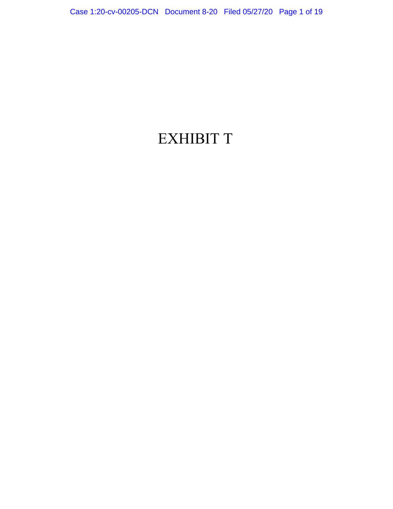# EXHIBIT T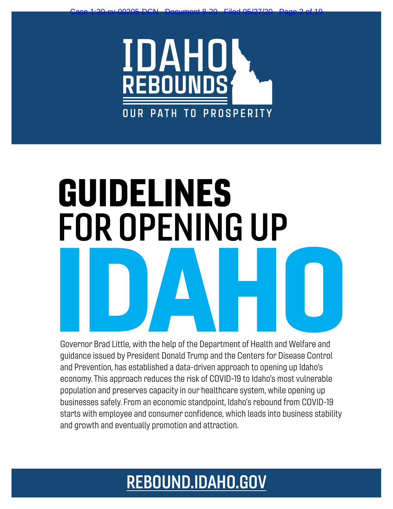

Case 1:20-cv-00205-DCN Document 8-20 Filed 05/27/20 Page 2 of 19

# GUIDELINES FOR OPENING UP Experience Brad Little, with the help of the Department of Health and Welfare and

Governor Brad Little, with the help of the Department of Health and Welfare and guidance issued by President Donald Trump and the Centers for Disease Control and Prevention, has established a data-driven approach to opening up Idaho's economy. This approach reduces the risk of COVID-19 to Idaho's most vulnerable population and preserves capacity in our healthcare system, while opening up businesses safely. From an economic standpoint, Idaho's rebound from COVID-19 starts with employee and consumer confidence, which leads into business stability and growth and eventually promotion and attraction.

# [REBOUND.IDAHO.GOV](http://rebound.idaho.gov)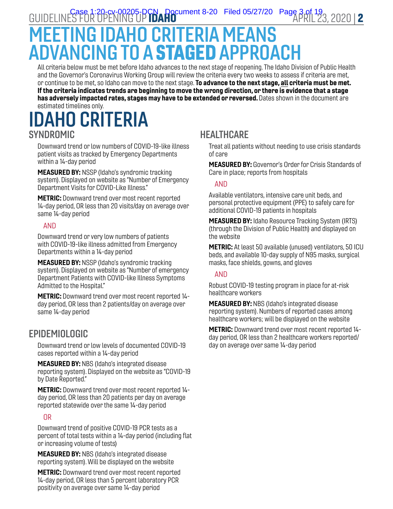GUIDELINES FOR OPENING UP **IDAHO COMPOSED CONTROL** Filed 05/27/20 Page 3 of 19<br>2 | APRIL 23, 2020 APRIL 23

# **MEETING IDAHO CRITERIA MEA** ADVANCING TO A STAGED APPROACH

All criteria below must be met before Idaho advances to the next stage of reopening. The Idaho Division of Public Health and the Governor's Coronavirus Working Group will review the criteria every two weeks to assess if criteria are met, or continue to be met, so Idaho can move to the next stage. To advance to the next stage, all criteria must be met. If the criteria indicates trends are beginning to move the wrong direction, or there is evidence that a stage has adversely impacted rates, stages may have to be extended or reversed. Dates shown in the document are estimated timelines only.

# IDAHO CRITERIA SYNDROMIC

Downward trend or low numbers of COVID-19-like illness patient visits as tracked by Emergency Departments within a 14-day period

MEASURED BY: NSSP (Idaho's syndromic tracking system). Displayed on website as "Number of Emergency Department Visits for COVID-Like Illness."

METRIC: Downward trend over most recent reported 14-day period, OR less than 20 visits/day on average over same 14-day period

## AND

Downward trend or very low numbers of patients with COVID-19-like illness admitted from Emergency Departments within a 14-day period

MEASURED BY: NSSP (Idaho's syndromic tracking system). Displayed on website as "Number of emergency Department Patients with COVID-like Illness Symptoms Admitted to the Hospital."

METRIC: Downward trend over most recent reported 14 day period, OR less than 2 patients/day on average over same 14-day period

## EPIDEMIOLOGIC

Downward trend or low levels of documented COVID-19 cases reported within a 14-day period

MEASURED BY: NBS (Idaho's integrated disease reporting system). Displayed on the website as "COVID-19 by Date Reported."

METRIC: Downward trend over most recent reported 14 day period, OR less than 20 patients per day on average reported statewide over the same 14-day period

## OR

Downward trend of positive COVID-19 PCR tests as a percent of total tests within a 14-day period (including flat or increasing volume of tests)

MEASURED BY: NBS (Idaho's integrated disease reporting system). Will be displayed on the website

METRIC: Downward trend over most recent reported 14-day period, OR less than 5 percent laboratory PCR positivity on average over same 14-day period

# **HEALTHCARE**

Treat all patients without needing to use crisis standards of care

MEASURED BY: Governor's Order for Crisis Standards of Care in place; reports from hospitals

### AND

Available ventilators, intensive care unit beds, and personal protective equipment (PPE) to safely care for additional COVID-19 patients in hospitals

**MEASURED BY:** Idaho Resource Tracking System (IRTS) (through the Division of Public Health) and displayed on the website

METRIC: At least 50 available (unused) ventilators, 50 ICU beds, and available 10-day supply of N95 masks, surgical masks, face shields, gowns, and gloves

### AND

Robust COVID-19 testing program in place for at-risk healthcare workers

**MEASURED BY: NBS (Idaho's integrated disease** reporting system). Numbers of reported cases among healthcare workers; will be displayed on the website

METRIC: Downward trend over most recent reported 14 day period, OR less than 2 healthcare workers reported/ day on average over same 14-day period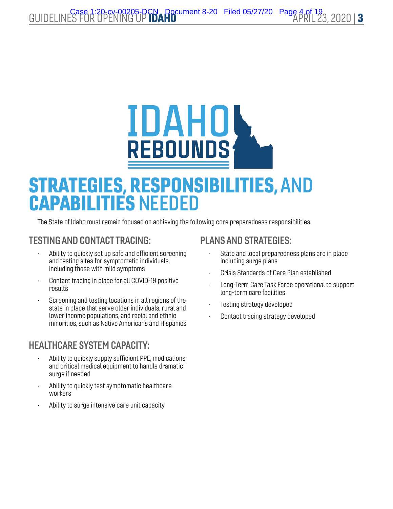# IDAHOS

# STRATEGIES, RESPONSIBILITIES, AND CAPABILITIES NEEDED

The State of Idaho must remain focused on achieving the following core preparedness responsibilities.

# TESTING AND CONTACT TRACING:

- Ability to quickly set up safe and efficient screening and testing sites for symptomatic individuals, including those with mild symptoms
- Contact tracing in place for all COVID-19 positive results
- Screening and testing locations in all regions of the state in place that serve older individuals, rural and lower income populations, and racial and ethnic minorities, such as Native Americans and Hispanics

# HEALTHCARE SYSTEM CAPACITY:

- Ability to quickly supply sufficient PPE, medications, and critical medical equipment to handle dramatic surge if needed
- Ability to quickly test symptomatic healthcare workers
- Ability to surge intensive care unit capacity

# PLANS AND STRATEGIES:

- State and local preparedness plans are in place including surge plans
- Crisis Standards of Care Plan established
- Long-Term Care Task Force operational to support long-term care facilities
- Testing strategy developed
- Contact tracing strategy developed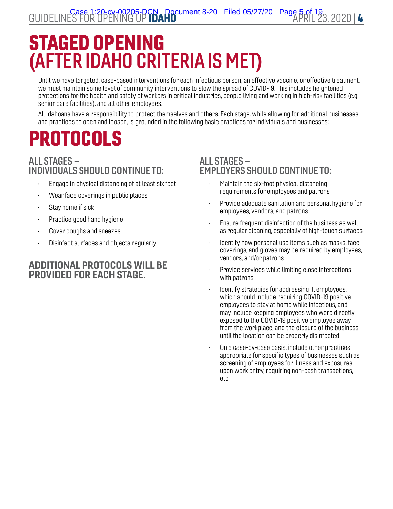# STAGED OPENING (AFTER IDAHO CRITERIA IS MET)

Until we have targeted, case-based interventions for each infectious person, an effective vaccine, or effective treatment, we must maintain some level of community interventions to slow the spread of COVID-19. This includes heightened protections for the health and safety of workers in critical industries, people living and working in high-risk facilities (e.g. senior care facilities), and all other employees.

All Idahoans have a responsibility to protect themselves and others. Each stage, while allowing for additional businesses and practices to open and loosen, is grounded in the following basic practices for individuals and businesses:

# PROTOCOLS

# ALL STAGES – INDIVIDUALS SHOULD CONTINUE TO:

- Engage in physical distancing of at least six feet
- Wear face coverings in public places
- Stay home if sick
- Practice good hand hygiene
- Cover coughs and sneezes
- Disinfect surfaces and objects regularly

## ADDITIONAL PROTOCOLS WILL BE PROVIDED FOR EACH STAGE.

## ALL STAGES – EMPLOYERS SHOULD CONTINUE TO:

- Maintain the six-foot physical distancing requirements for employees and patrons
- Provide adequate sanitation and personal hygiene for employees, vendors, and patrons
- Ensure frequent disinfection of the business as well as regular cleaning, especially of high-touch surfaces
- Identify how personal use items such as masks, face coverings, and gloves may be required by employees, vendors, and/or patrons
- Provide services while limiting close interactions with patrons
- Identify strategies for addressing ill employees, which should include requiring COVID-19 positive employees to stay at home while infectious, and may include keeping employees who were directly exposed to the COVID-19 positive employee away from the workplace, and the closure of the business until the location can be properly disinfected
- On a case-by-case basis, include other practices appropriate for specific types of businesses such as screening of employees for illness and exposures upon work entry, requiring non-cash transactions, etc.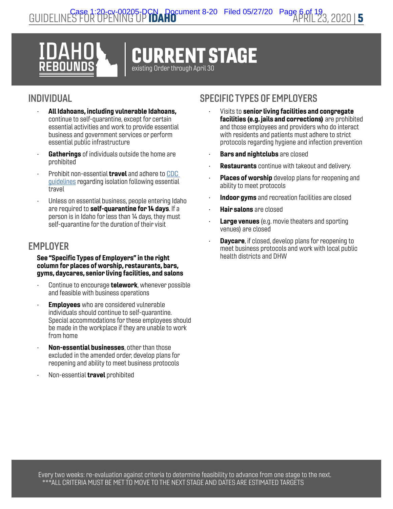

# INDIVIDUAL

- All Idahoans, including vulnerable Idahoans, continue to self-quarantine, except for certain essential activities and work to provide essential business and government services or perform essential public infrastructure
- Gatherings of individuals outside the home are prohibited
- Prohibit non-essential **travel** and adhere to CDC [guidelines](https://www.cdc.gov/coronavirus/2019-ncov/travelers/index.html) regarding isolation following essential travel
- Unless on essential business, people entering Idaho are required to self-quarantine for 14 days. If a person is in Idaho for less than 14 days, they must self-quarantine for the duration of their visit

# **EMPLOYER**

#### See "Specific Types of Employers" in the right column for places of worship, restaurants, bars, gyms, daycares, senior living facilities, and salons

- Continue to encourage **telework**, whenever possible and feasible with business operations
- **Employees** who are considered vulnerable individuals should continue to self-quarantine. Special accommodations for these employees should be made in the workplace if they are unable to work from home
- Non-essential businesses, other than those excluded in the amended order, develop plans for reopening and ability to meet business protocols
- Non-essential **travel** prohibited

- Visits to senior living facilities and congregate facilities (e.g. jails and corrections) are prohibited and those employees and providers who do interact with residents and patients must adhere to strict protocols regarding hygiene and infection prevention
- Bars and nightclubs are closed
- **Restaurants** continue with takeout and delivery.
- **Places of worship** develop plans for reopening and ability to meet protocols
- Indoor gyms and recreation facilities are closed
- **Hair salons** are closed
- **Large venues** (e.g. movie theaters and sporting venues) are closed
- **Daycare**, if closed, develop plans for reopening to meet business protocols and work with local public health districts and DHW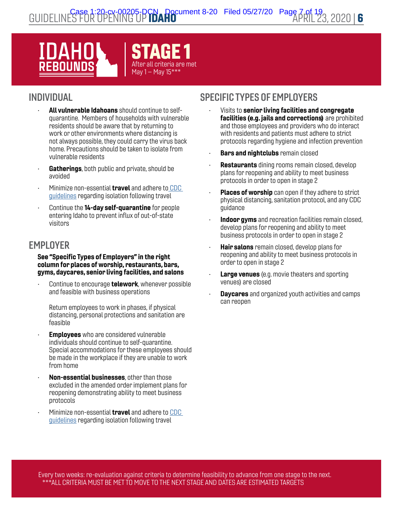

# INDIVIDUAL

- All vulnerable Idahoans should continue to selfquarantine. Members of households with vulnerable residents should be aware that by returning to work or other environments where distancing is not always possible, they could carry the virus back home. Precautions should be taken to isolate from vulnerable residents
- Gatherings, both public and private, should be avoided
- Minimize non-essential travel and adhere t[o CDC](https://www.cdc.gov/coronavirus/2019-ncov/travelers/index.html)  [guidelines](https://www.cdc.gov/coronavirus/2019-ncov/travelers/index.html) regarding isolation following travel
- Continue the 14-day self-quarantine for people entering Idaho to prevent influx of out-of-state visitors

# **EMPLOYER**

#### See "Specific Types of Employers" in the right column for places of worship, restaurants, bars, gyms, daycares, senior living facilities, and salons

Continue to encourage **telework**, whenever possible and feasible with business operations

Return employees to work in phases, if physical distancing, personal protections and sanitation are feasible

- **Employees** who are considered vulnerable individuals should continue to self-quarantine. Special accommodations for these employees should be made in the workplace if they are unable to work from home
- Non-essential businesses, other than those excluded in the amended order implement plans for reopening demonstrating ability to meet business protocols
- Minimize non-essential travel and adhere to [CDC](https://www.cdc.gov/coronavirus/2019-ncov/travelers/index.html)  [guidelines](https://www.cdc.gov/coronavirus/2019-ncov/travelers/index.html) regarding isolation following travel

- Visits to senior living facilities and congregate facilities (e.g. jails and corrections) are prohibited and those employees and providers who do interact with residents and patients must adhere to strict protocols regarding hygiene and infection prevention
- **Bars and nightclubs** remain closed
- **Restaurants** dining rooms remain closed, develop plans for reopening and ability to meet business protocols in order to open in stage 2
- Places of worship can open if they adhere to strict physical distancing, sanitation protocol, and any CDC guidance
- Indoor gyms and recreation facilities remain closed, develop plans for reopening and ability to meet business protocols in order to open in stage 2
- **Hair salons** remain closed, develop plans for reopening and ability to meet business protocols in order to open in stage 2
- **Large venues** (e.g. movie theaters and sporting venues) are closed
- **Daycares** and organized youth activities and camps can reopen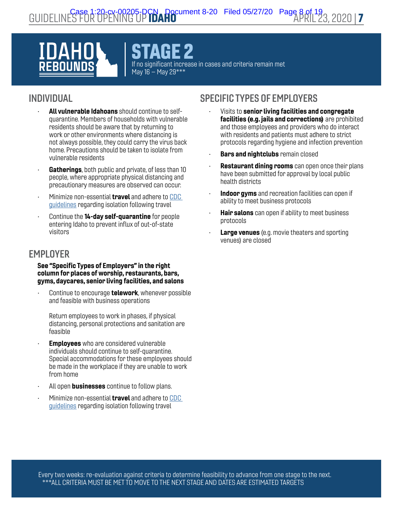STAGE 2 If no significant increase in cases and criteria remain met May 16 – May 29\*\*\*

# INDIVIDUAL

- All vulnerable Idahoans should continue to selfquarantine. Members of households with vulnerable residents should be aware that by returning to work or other environments where distancing is not always possible, they could carry the virus back home. Precautions should be taken to isolate from vulnerable residents
- Gatherings, both public and private, of less than 10 people, where appropriate physical distancing and precautionary measures are observed can occur.
- Minimize non-essential **travel** and adhere to CDC [guidelines](https://www.cdc.gov/coronavirus/2019-ncov/travelers/index.html) regarding isolation following travel
- Continue the 14-day self-quarantine for people entering Idaho to prevent influx of out-of-state visitors

# **EMPLOYER**

#### See "Specific Types of Employers" in the right column for places of worship, restaurants, bars, gyms, daycares, senior living facilities, and salons

Continue to encourage **telework**, whenever possible and feasible with business operations

Return employees to work in phases, if physical distancing, personal protections and sanitation are feasible

- **Employees** who are considered vulnerable individuals should continue to self-quarantine. Special accommodations for these employees should be made in the workplace if they are unable to work from home
- All open **businesses** continue to follow plans.
- Minimize non-essential **travel** and adhere to CDC [guidelines](https://www.cdc.gov/coronavirus/2019-ncov/travelers/index.html) regarding isolation following travel

- Visits to senior living facilities and congregate facilities (e.g. jails and corrections) are prohibited and those employees and providers who do interact with residents and patients must adhere to strict protocols regarding hygiene and infection prevention
- **Bars and nightclubs** remain closed
- **Restaurant dining rooms** can open once their plans have been submitted for approval by local public health districts
- Indoor gyms and recreation facilities can open if ability to meet business protocols
- **Hair salons** can open if ability to meet business protocols
- **Large venues** (e.g. movie theaters and sporting venues) are closed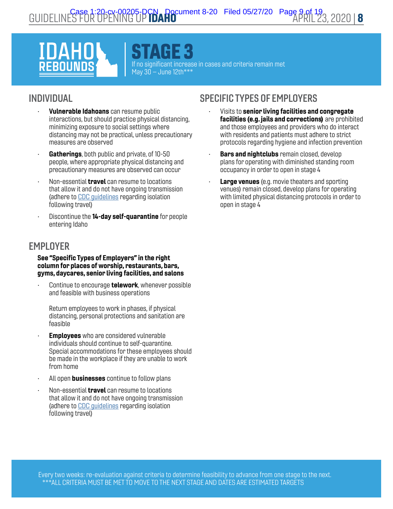STAGE 3 If no significant increase in cases and criteria remain met May  $30 -$ June 12th\*\*\*

# INDIVIDUAL

- Vulnerable Idahoans can resume public interactions, but should practice physical distancing, minimizing exposure to social settings where distancing may not be practical, unless precautionary measures are observed
- Gatherings, both public and private, of 10-50 people, where appropriate physical distancing and precautionary measures are observed can occur
- Non-essential **travel** can resume to locations that allow it and do not have ongoing transmission (adhere to [CDC guidelines](https://www.cdc.gov/coronavirus/2019-ncov/travelers/index.html) regarding isolation following travel)
- Discontinue the **14-day self-quarantine** for people entering Idaho

# **EMPLOYER**

#### See "Specific Types of Employers" in the right column for places of worship, restaurants, bars, gyms, daycares, senior living facilities, and salons

Continue to encourage **telework**, whenever possible and feasible with business operations

Return employees to work in phases, if physical distancing, personal protections and sanitation are feasible

- **Employees** who are considered vulnerable individuals should continue to self-quarantine. Special accommodations for these employees should be made in the workplace if they are unable to work from home
- All open **businesses** continue to follow plans
- Non-essential **travel** can resume to locations that allow it and do not have ongoing transmission (adhere to [CDC guidelines](https://www.cdc.gov/coronavirus/2019-ncov/travelers/index.html) regarding isolation following travel)

- Visits to senior living facilities and congregate facilities (e.g. jails and corrections) are prohibited and those employees and providers who do interact with residents and patients must adhere to strict protocols regarding hygiene and infection prevention
- **Bars and nightclubs** remain closed, develop plans for operating with diminished standing room occupancy in order to open in stage 4
- Large venues (e.g. movie theaters and sporting venues) remain closed, develop plans for operating with limited physical distancing protocols in order to open in stage 4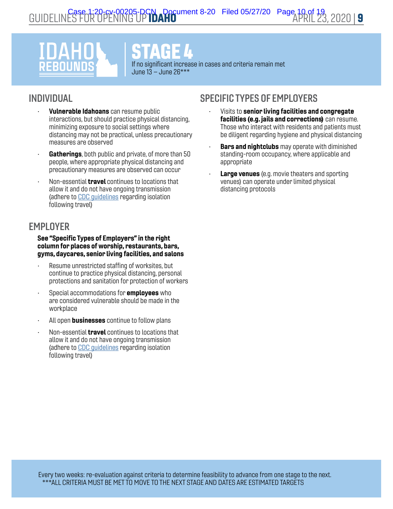# DAH FROU

STAGE 4

If no significant increase in cases and criteria remain met June 13 – June 26\*\*\*

# INDIVIDUAL

- Vulnerable Idahoans can resume public interactions, but should practice physical distancing, minimizing exposure to social settings where distancing may not be practical, unless precautionary measures are observed
- Gatherings, both public and private, of more than 50 people, where appropriate physical distancing and precautionary measures are observed can occur
- Non-essential **travel** continues to locations that allow it and do not have ongoing transmission (adhere to [CDC guidelines](https://www.cdc.gov/coronavirus/2019-ncov/travelers/index.html) regarding isolation following travel)

# **EMPLOYER**

#### See "Specific Types of Employers" in the right column for places of worship, restaurants, bars, gyms, daycares, senior living facilities, and salons

- Resume unrestricted staffing of worksites, but continue to practice physical distancing, personal protections and sanitation for protection of workers
- Special accommodations for **employees** who are considered vulnerable should be made in the workplace
- All open **businesses** continue to follow plans
- Non-essential **travel** continues to locations that allow it and do not have ongoing transmission (adhere to [CDC guidelines](https://www.cdc.gov/coronavirus/2019-ncov/travelers/index.html) regarding isolation following travel)

- Visits to senior living facilities and congregate facilities (e.g. jails and corrections) can resume. Those who interact with residents and patients must be diligent regarding hygiene and physical distancing
- **Bars and nightclubs** may operate with diminished standing-room occupancy, where applicable and appropriate
- **Large venues** (e.g. movie theaters and sporting venues) can operate under limited physical distancing protocols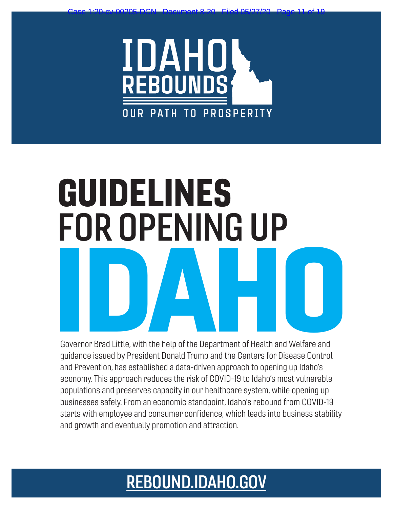

Case 1:20-cv-00205-DCN Document 8-20 Filed 05/27/20 Page 11 of 19

# GUIDELINES FOR OPENING UP Experience Brad Little, with the help of the Department of Health and Welfare and

Governor Brad Little, with the help of the Department of Health and Welfare and guidance issued by President Donald Trump and the Centers for Disease Control and Prevention, has established a data-driven approach to opening up Idaho's economy. This approach reduces the risk of COVID-19 to Idaho's most vulnerable populations and preserves capacity in our healthcare system, while opening up businesses safely. From an economic standpoint, Idaho's rebound from COVID-19 starts with employee and consumer confidence, which leads into business stability and growth and eventually promotion and attraction.

# [REBOUND.IDAHO.GOV](http://rebound.idaho.gov)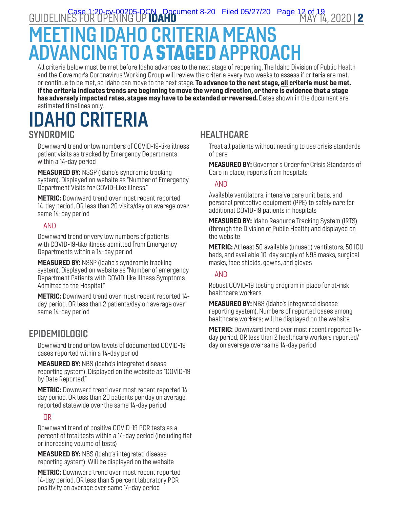# MEETING IDAHO CRITERIA MEA ADVANCING TO A STAGED APPROACH

All criteria below must be met before Idaho advances to the next stage of reopening. The Idaho Division of Public Health and the Governor's Coronavirus Working Group will review the criteria every two weeks to assess if criteria are met, or continue to be met, so Idaho can move to the next stage. **To advance to the next stage, all criteria must be met.** If the criteria indicates trends are beginning to move the wrong direction, or there is evidence that a stage has adversely impacted rates, stages may have to be extended or reversed. Dates shown in the document are estimated timelines only.

# IDAHO CRITERIA SYNDROMIC

Downward trend or low numbers of COVID-19-like illness patient visits as tracked by Emergency Departments within a 14-day period

**MEASURED BY: NSSP (Idaho's syndromic tracking** system). Displayed on website as "Number of Emergency Department Visits for COVID-Like Illness."

**METRIC:** Downward trend over most recent reported 14-day period, OR less than 20 visits/day on average over same 14-day period

## AND

Downward trend or very low numbers of patients with COVID-19-like illness admitted from Emergency Departments within a 14-day period

MEASURED BY: NSSP (Idaho's syndromic tracking system). Displayed on website as "Number of emergency Department Patients with COVID-like Illness Symptoms Admitted to the Hospital."

METRIC: Downward trend over most recent reported 14 day period, OR less than 2 patients/day on average over same 14-day period

# EPIDEMIOLOGIC

Downward trend or low levels of documented COVID-19 cases reported within a 14-day period

MEASURED BY: NBS (Idaho's integrated disease reporting system). Displayed on the website as "COVID-19 by Date Reported."

METRIC: Downward trend over most recent reported 14 day period, OR less than 20 patients per day on average reported statewide over the same 14-day period

## OR

Downward trend of positive COVID-19 PCR tests as a percent of total tests within a 14-day period (including flat or increasing volume of tests)

MEASURED BY: NBS (Idaho's integrated disease reporting system). Will be displayed on the website

METRIC: Downward trend over most recent reported 14-day period, OR less than 5 percent laboratory PCR positivity on average over same 14-day period

# **HEALTHCARE**

Treat all patients without needing to use crisis standards of care

MEASURED BY: Governor's Order for Crisis Standards of Care in place; reports from hospitals

### AND

Available ventilators, intensive care unit beds, and personal protective equipment (PPE) to safely care for additional COVID-19 patients in hospitals

**MEASURED BY:** Idaho Resource Tracking System (IRTS) (through the Division of Public Health) and displayed on the website

METRIC: At least 50 available (unused) ventilators, 50 ICU beds, and available 10-day supply of N95 masks, surgical masks, face shields, gowns, and gloves

### AND

Robust COVID-19 testing program in place for at-risk healthcare workers

**MEASURED BY: NBS (Idaho's integrated disease** reporting system). Numbers of reported cases among healthcare workers; will be displayed on the website

METRIC: Downward trend over most recent reported 14 day period, OR less than 2 healthcare workers reported/ day on average over same 14-day period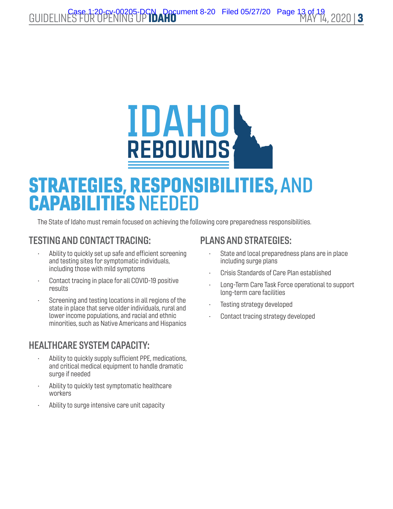# **IDAHOS**

# STRATEGIES, RESPONSIBILITIES, AND CAPABILITIES NEEDED

The State of Idaho must remain focused on achieving the following core preparedness responsibilities.

# TESTING AND CONTACT TRACING:

- Ability to quickly set up safe and efficient screening and testing sites for symptomatic individuals, including those with mild symptoms
- Contact tracing in place for all COVID-19 positive results
- Screening and testing locations in all regions of the state in place that serve older individuals, rural and lower income populations, and racial and ethnic minorities, such as Native Americans and Hispanics

# HEALTHCARE SYSTEM CAPACITY:

- Ability to quickly supply sufficient PPE, medications, and critical medical equipment to handle dramatic surge if needed
- Ability to quickly test symptomatic healthcare workers
- Ability to surge intensive care unit capacity

# PLANS AND STRATEGIES:

- State and local preparedness plans are in place including surge plans
- Crisis Standards of Care Plan established
- Long-Term Care Task Force operational to support long-term care facilities
- Testing strategy developed
- Contact tracing strategy developed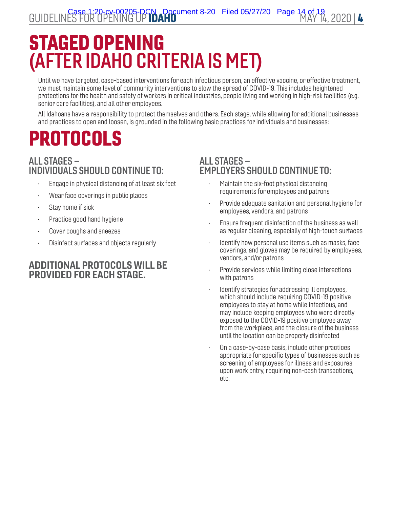# STAGED OPENING (AFTER IDAHO CRITERIA IS MET)

Until we have targeted, case-based interventions for each infectious person, an effective vaccine, or effective treatment, we must maintain some level of community interventions to slow the spread of COVID-19. This includes heightened protections for the health and safety of workers in critical industries, people living and working in high-risk facilities (e.g. senior care facilities), and all other employees.

All Idahoans have a responsibility to protect themselves and others. Each stage, while allowing for additional businesses and practices to open and loosen, is grounded in the following basic practices for individuals and businesses:

# PROTOCOLS

# ALL STAGES – INDIVIDUALS SHOULD CONTINUE TO:

- Engage in physical distancing of at least six feet
- Wear face coverings in public places
- Stay home if sick
- Practice good hand hygiene
- Cover coughs and sneezes
- Disinfect surfaces and objects regularly

# ADDITIONAL PROTOCOLS WILL BE PROVIDED FOR EACH STAGE.

## ALL STAGES – EMPLOYERS SHOULD CONTINUE TO:

- Maintain the six-foot physical distancing requirements for employees and patrons
- Provide adequate sanitation and personal hygiene for employees, vendors, and patrons
- Ensure frequent disinfection of the business as well as regular cleaning, especially of high-touch surfaces
- Identify how personal use items such as masks, face coverings, and gloves may be required by employees, vendors, and/or patrons
- Provide services while limiting close interactions with patrons
- Identify strategies for addressing ill employees, which should include requiring COVID-19 positive employees to stay at home while infectious, and may include keeping employees who were directly exposed to the COVID-19 positive employee away from the workplace, and the closure of the business until the location can be properly disinfected
- On a case-by-case basis, include other practices appropriate for specific types of businesses such as screening of employees for illness and exposures upon work entry, requiring non-cash transactions, etc.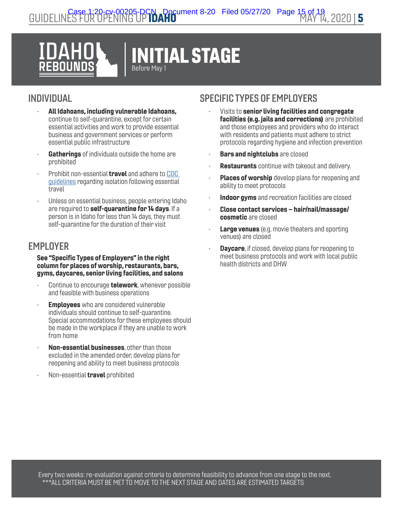

# INDIVIDUAL

- All Idahoans, including vulnerable Idahoans, continue to self-quarantine, except for certain essential activities and work to provide essential business and government services or perform essential public infrastructure
- Gatherings of individuals outside the home are prohibited
- Prohibit non-essential **travel** and adhere to CDC [guidelines](https://www.cdc.gov/coronavirus/2019-ncov/travelers/index.html) regarding isolation following essential travel
- Unless on essential business, people entering Idaho are required to self-quarantine for 14 days. If a person is in Idaho for less than 14 days, they must self-quarantine for the duration of their visit

# **EMPLOYER**

#### See "Specific Types of Employers" in the right column for places of worship, restaurants, bars, gyms, daycares, senior living facilities, and salons

- Continue to encourage **telework**, whenever possible and feasible with business operations
- **Employees** who are considered vulnerable individuals should continue to self-quarantine. Special accommodations for these employees should be made in the workplace if they are unable to work from home
- Non-essential businesses, other than those excluded in the amended order, develop plans for reopening and ability to meet business protocols
- Non-essential **travel** prohibited

- Visits to senior living facilities and congregate facilities (e.g. jails and corrections) are prohibited and those employees and providers who do interact with residents and patients must adhere to strict protocols regarding hygiene and infection prevention
- **Bars and nightclubs** are closed
- **Restaurants** continue with takeout and delivery.
- **Places of worship** develop plans for reopening and ability to meet protocols
- Indoor gyms and recreation facilities are closed
- Close contact services hair/nail/massage/ cosmetic are closed
- **Large venues** (e.g. movie theaters and sporting venues) are closed
- **Daycare**, if closed, develop plans for reopening to meet business protocols and work with local public health districts and DHW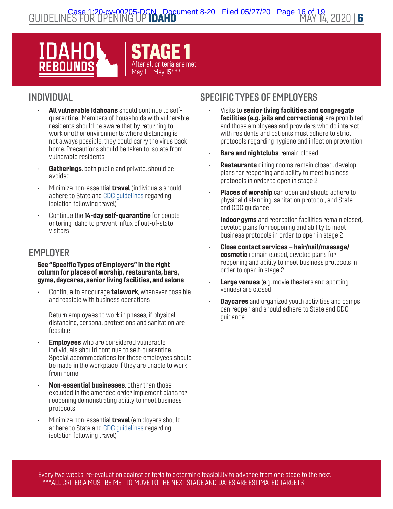

# INDIVIDUAL

- All vulnerable Idahoans should continue to selfquarantine. Members of households with vulnerable residents should be aware that by returning to work or other environments where distancing is not always possible, they could carry the virus back home. Precautions should be taken to isolate from vulnerable residents
- Gatherings, both public and private, should be avoided
- Minimize non-essential **travel** (individuals should adhere to State and [CDC guidelines](https://www.cdc.gov/coronavirus/2019-ncov/travelers/index.html) regarding isolation following travel)
- Continue the 14-day self-quarantine for people entering Idaho to prevent influx of out-of-state visitors

# **EMPLOYER**

#### See "Specific Types of Employers" in the right column for places of worship, restaurants, bars, gyms, daycares, senior living facilities, and salons

Continue to encourage **telework**, whenever possible and feasible with business operations

Return employees to work in phases, if physical distancing, personal protections and sanitation are feasible

- **Employees** who are considered vulnerable individuals should continue to self-quarantine. Special accommodations for these employees should be made in the workplace if they are unable to work from home
- Non-essential businesses, other than those excluded in the amended order implement plans for reopening demonstrating ability to meet business protocols
- Minimize non-essential **travel** (employers should adhere to State and [CDC guidelines](https://www.cdc.gov/coronavirus/2019-ncov/travelers/index.html) regarding isolation following travel)

# SPECIFIC TYPES OF EMPLOYERS

- Visits to senior living facilities and congregate facilities (e.g. jails and corrections) are prohibited and those employees and providers who do interact with residents and patients must adhere to strict protocols regarding hygiene and infection prevention
- **Bars and nightclubs** remain closed
- **Restaurants** dining rooms remain closed, develop plans for reopening and ability to meet business protocols in order to open in stage 2
- Places of worship can open and should adhere to physical distancing, sanitation protocol, and State and CDC guidance
- Indoor gyms and recreation facilities remain closed, develop plans for reopening and ability to meet business protocols in order to open in stage 2
- Close contact services hair/nail/massage/ cosmetic remain closed, develop plans for reopening and ability to meet business protocols in order to open in stage 2
- **Large venues** (e.g. movie theaters and sporting venues) are closed
- **Daycares** and organized youth activities and camps can reopen and should adhere to State and CDC guidance

Every two weeks: re-evaluation against criteria to determine feasibility to advance from one stage to the next. \*\*\*ALL CRITERIA MUST BE MET TO MOVE TO THE NEXT STAGE AND DATES ARE ESTIMATED TARGETS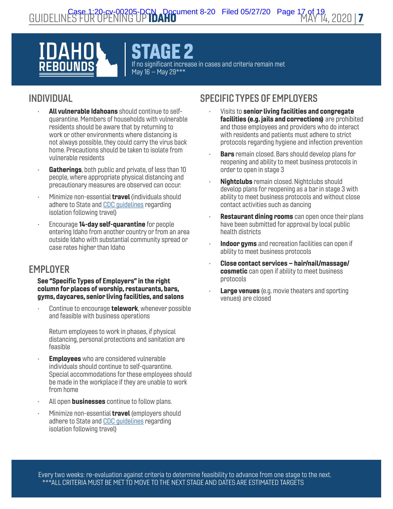# IDAH 280U

AGE 2 If no significant increase in cases and criteria remain met May 16 – May 29\*\*\*

# INDIVIDUAL

- All vulnerable Idahoans should continue to selfquarantine. Members of households with vulnerable residents should be aware that by returning to work or other environments where distancing is not always possible, they could carry the virus back home. Precautions should be taken to isolate from vulnerable residents
- Gatherings, both public and private, of less than 10 people, where appropriate physical distancing and precautionary measures are observed can occur.
- Minimize non-essential **travel** (individuals should adhere to State and [CDC guidelines](https://www.cdc.gov/coronavirus/2019-ncov/travelers/index.html) regarding isolation following travel)
- Encourage 14-day self-quarantine for people entering Idaho from another country or from an area outside Idaho with substantial community spread or case rates higher than Idaho

# **EMPLOYER**

See "Specific Types of Employers" in the right column for places of worship, restaurants, bars, gyms, daycares, senior living facilities, and salons

Continue to encourage **telework**, whenever possible and feasible with business operations

Return employees to work in phases, if physical distancing, personal protections and sanitation are feasible

- **Employees** who are considered vulnerable individuals should continue to self-quarantine. Special accommodations for these employees should be made in the workplace if they are unable to work from home
- All open **businesses** continue to follow plans.
- Minimize non-essential **travel** (employers should adhere to State and [CDC guidelines](https://www.cdc.gov/coronavirus/2019-ncov/travelers/index.html) regarding isolation following travel)

# SPECIFIC TYPES OF EMPLOYERS

- Visits to senior living facilities and congregate facilities (e.g. jails and corrections) are prohibited and those employees and providers who do interact with residents and patients must adhere to strict protocols regarding hygiene and infection prevention
- **Bars** remain closed. Bars should develop plans for reopening and ability to meet business protocols in order to open in stage 3
- **Nightclubs** remain closed. Nightclubs should develop plans for reopening as a bar in stage 3 with ability to meet business protocols and without close contact activities such as dancing
- **Restaurant dining rooms** can open once their plans have been submitted for approval by local public health districts
- Indoor gyms and recreation facilities can open if ability to meet business protocols
- Close contact services hair/nail/massage/ cosmetic can open if ability to meet business protocols
- **Large venues** (e.g. movie theaters and sporting venues) are closed

Every two weeks: re-evaluation against criteria to determine feasibility to advance from one stage to the next. \*\*\*ALL CRITERIA MUST BE MET TO MOVE TO THE NEXT STAGE AND DATES ARE ESTIMATED TARGETS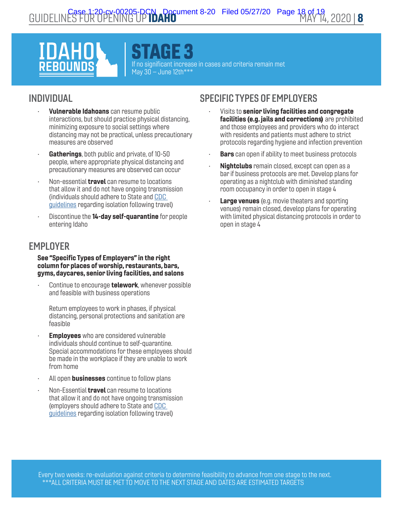STAGE 3 If no significant increase in cases and criteria remain met May  $30 -$  June 12th\*\*\*

# INDIVIDUAL

- Vulnerable Idahoans can resume public interactions, but should practice physical distancing, minimizing exposure to social settings where distancing may not be practical, unless precautionary measures are observed
- Gatherings, both public and private, of 10-50 people, where appropriate physical distancing and precautionary measures are observed can occur
- Non-essential **travel** can resume to locations that allow it and do not have ongoing transmission (individuals should adhere to State and [CDC](https://www.cdc.gov/coronavirus/2019-ncov/travelers/index.html)  [guidelines](https://www.cdc.gov/coronavirus/2019-ncov/travelers/index.html) regarding isolation following travel)
- Discontinue the **14-day self-quarantine** for people entering Idaho

# **EMPLOYER**

#### See "Specific Types of Employers" in the right column for places of worship, restaurants, bars, gyms, daycares, senior living facilities, and salons

Continue to encourage **telework**, whenever possible and feasible with business operations

Return employees to work in phases, if physical distancing, personal protections and sanitation are feasible

- **Employees** who are considered vulnerable individuals should continue to self-quarantine. Special accommodations for these employees should be made in the workplace if they are unable to work from home
- All open **businesses** continue to follow plans
- Non-Essential **travel** can resume to locations that allow it and do not have ongoing transmission (employers should adhere to State and [CDC](https://www.cdc.gov/coronavirus/2019-ncov/travelers/index.html)  [guidelines](https://www.cdc.gov/coronavirus/2019-ncov/travelers/index.html) regarding isolation following travel)

- Visits to senior living facilities and congregate facilities (e.g. jails and corrections) are prohibited and those employees and providers who do interact with residents and patients must adhere to strict protocols regarding hygiene and infection prevention
- **Bars** can open if ability to meet business protocols
- Nightclubs remain closed, except can open as a bar if business protocols are met. Develop plans for operating as a nightclub with diminished standing room occupancy in order to open in stage 4
- **Large venues** (e.g. movie theaters and sporting venues) remain closed, develop plans for operating with limited physical distancing protocols in order to open in stage 4